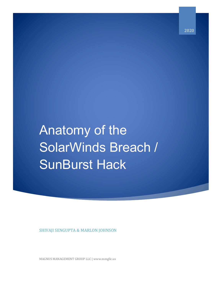Anatomy of the SolarWinds Breach / SunBurst Hack

2020

SHIVAJI SENGUPTA & MARLON JOHNSON

MAGNUS MANAGEMENT GROUP LLC | www.mmgllc.us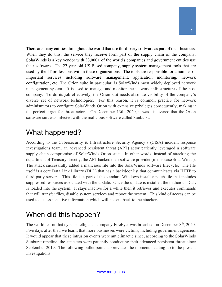There are many entities throughout the world that use third-party software as part of their business. When they do this, the service they receive form part of the supply chain of the company. SolarWinds is a key vendor with 33,000+ of the world's companies and government entities use their software. The 22-year-old US-Based company, supply system management tools that are used by the IT professions within these organizations. The tools are responsible for a number of important services including software management, application monitoring, network configuration, etc. The Orion suite in particular, is SolarWinds most widely deployed network management system. It is used to manage and monitor the network infrastructure of the host company. To do its job effectively, the Orion suit needs absolute visibility of the company's diverse set of network technologies. For this reason, it is common practice for network administrators to configure SolarWinds Orion with extensive privileges consequently, making it the perfect target for threat actors. On December 13th, 2020, it was discovered that the Orion software suit was infected with the malicious software called Sunburst.

### What happened?

According to the Cybersecurity & Infrastructure Security Agency's (CISA) incident response investigations team, an advanced persistent threat (APT) actor patiently leveraged a software supply chain compromise of SolarWinds Orion suits. In other words, instead of attacking the department of Treasury directly, the APT hacked their software provider (in this case SolarWinds). The attack successfully added a malicious file into the SolarWinds software lifecycle. The file itself is a core Data Link Library (DLL) that has a backdoor list that communicates via HTTP to third-party servers. This file is a part of the standard Windows installer patch file that includes suppressed resources associated with the update. Once the update is installed the malicious DLL is loaded into the system. It stays inactive for a while then it retrieves and executes commands that will transfer files, disable system services and reboot the system. This kind of access can be used to access sensitive information which will be sent back to the attackers.

# When did this happen?

The world learnt that cyber intelligence company FireEye, was breached on December 8<sup>th</sup>, 2020. Five days after that, we learnt that more businesses were victims, including government agencies. It would appear that these intrusion events were anticlimactic since, according to the SolarWinds Sunburst timeline, the attackers were patiently conducting their advanced persistent threat since September 2019. The following bullet points abbreviates the moments leading up to the present investigations: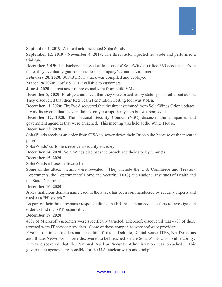**September 4, 2019:** A threat actor accessed SolarWinds

**September 12, 2019 - November 4, 2019:** The threat actor injected test code and performed a trial run.

**December 2019:** The hackers accessed at least one of SolarWinds' Office 365 accounts. From there, they eventually gained access to the company's email environment.

**February 20, 2020:** SUNBURST attack was compiled and deployed

**March 26 2020:** Hotfix 5 DLL available to customers.

**June 4, 2020:** Threat actor removes malware from build VMs.

**December 8, 2020:** FireEye announced that they were breached by state-sponsored threat actors. They discovered that their Red Team Penetration Testing tool was stolen.

**December 11, 2020:** FireEye discovered that the threat stemmed from SolarWinds Orion updates. It was discovered that hackers did not only corrupt the system but weaponized it.

**December 12, 2020:** The National Security Council (NSC) discusses the companies and government agencies that were breached. This meeting was held at the White House.

#### **December 13, 2020:**

SolarWinds receives an order from CISA to power down their Orion suite because of the threat it posed.

SolarWinds' customers receive a security advisory.

**December 14, 2020:** SolarWinds discloses the breach and their stock plummets

#### **December 15, 2020:**

SolarWinds releases software fix.

Some of the attack victims were revealed. They include the U.S. Commerce and Treasury Departments; the Department of Homeland Security (DHS), the National Institutes of Health and the State Department.

#### **December 16, 2020:**

A key malicious domain name used in the attack has been commandeered by security experts and used as a "killswitch."

As part of their threat response responsibilities, the FBI has announced its efforts to investigate in order to find the APT responsible.

#### **December 17, 2020:**

40% of Microsoft customers were specifically targeted. Microsoft discovered that 44% of those targeted were IT service providers. Some of these companies were software providers.

Five IT solutions providers and consulting firms — Deloitte, Digital Sense, ITPS, Net Decisions and Stratus Networks — were discovered to be breached via the SolarWinds Orion vulnerability. It was discovered that the National Nuclear Security Administration was breached. This government agency is responsible for the U.S. nuclear weapons stockpile.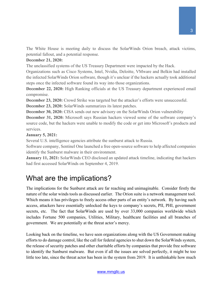The White House is meeting daily to discuss the SolarWinds Orion breach, attack victims, potential fallout, and a potential response.

#### **December 21, 2020:**

The unclassified systems of the US Treasury Department were impacted by the Hack.

Organizations such as Cisco Systems, Intel, Nvidia, Deloitte, VMware and Belkin had installed the infected SolarWinds Orion software, though it's unclear if the hackers actually took additional steps once the infected software found its way into those organizations.

**December 22, 2020:** High Ranking officials at the US Treasury department experienced email compromise.

**December 23, 2020:** Crowd Strike was targeted but the attacker's efforts were unsuccessful.

**December 23, 2020:** SolarWinds summarizes its latest patches.

**December 30, 2020:** CISA sends out new advisory on the SolarWinds Orion vulnerability

**December 31, 2020:** Microsoft says Russian hackers viewed some of the software company's source code, but the hackers were unable to modify the code or get into Microsoft's products and services.

#### **January 5, 2021:**

Several U.S. intelligence agencies attribute the sunburst attack to Russia.

Software company, Sentinel One launched a free open-source software to help affected companies identify the Sunburst malware in their environment.

**January 11, 2021:** SolarWinds CEO disclosed an updated attack timeline, indicating that hackers had first accessed SolarWinds on September 4, 2019.

# What are the implications?

The implications for the Sunburst attack are far reaching and unimaginable. Consider firstly the nature of the solar winds tools as discussed earlier. The Orion suite is a network management tool. Which means it has privileges to freely access other parts of an entity's network. By having such access, attackers have essentially unlocked the keys to company's secrets, PII, PHI, government secrets, etc. The fact that SolarWinds are used by over 33,000 companies worldwide which includes Fortune 500 companies, Utilities, Military, healthcare facilities and all branches of government. We are potentially at the threat actor's mercy.

Looking back on the timeline, we have seen organizations along with the US Government making efforts to do damage control, like the call for federal agencies to shut down the SolarWinds system, the release of security patches and other charitable efforts by companies that provide free software to identify the Sunburst malware. But even if all the issues are solved perfectly, it might be too little too late, since the threat actor has been in the system from 2019. It is unthinkable how much